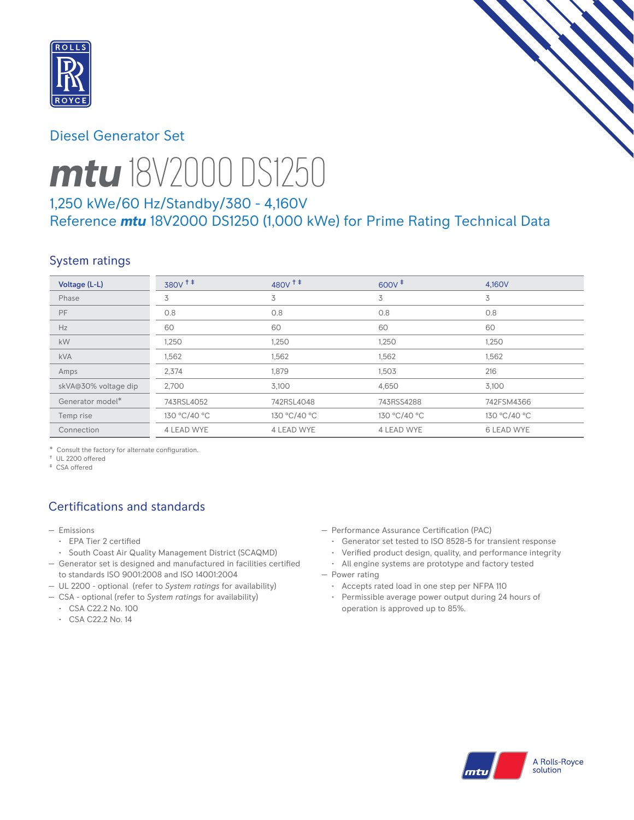

## Diesel Generator Set



# *mtu* 18V2000 DS1250

# 1,250 kWe/60 Hz/Standby/380 - 4,160V Reference *mtu* 18V2000 DS1250 (1,000 kWe) for Prime Rating Technical Data

# System ratings

| Voltage (L-L)        | 380V <sup>+</sup> | 480v <sup>++</sup> | $600V^{\ddagger}$ | 4.160V            |
|----------------------|-------------------|--------------------|-------------------|-------------------|
| Phase                | 3                 | 3                  | 3                 | 3                 |
| <b>PF</b>            | 0.8               | 0.8                | 0.8               | 0.8               |
| Hz                   | 60                | 60                 | 60                | 60                |
| kW                   | 1,250             | 1,250              | 1,250             | 1,250             |
| <b>kVA</b>           | 1,562             | 1,562              | 1,562             | 1,562             |
| Amps                 | 2,374             | 1,879              | 1,503             | 216               |
| skVA@30% voltage dip | 2,700             | 3,100              | 4,650             | 3,100             |
| Generator model*     | 743RSL4052        | 742RSL4048         | 743RSS4288        | 742FSM4366        |
| Temp rise            | 130 °C/40 °C      | 130 °C/40 °C       | 130 °C/40 °C      | 130 °C/40 °C      |
| Connection           | 4 LEAD WYE        | <b>4 LEAD WYE</b>  | 4 LEAD WYE        | <b>6 LEAD WYE</b> |

\* Consult the factory for alternate configuration.

† UL 2200 offered

‡ CSA offered

# Certifications and standards

- Emissions
	- EPA Tier 2 certified
	- South Coast Air Quality Management District (SCAQMD)
- Generator set is designed and manufactured in facilities certified to standards ISO 9001:2008 and ISO 14001:2004
- UL 2200 optional (refer to *System ratings* for availability)
- CSA optional (refer to *System ratings* for availability)
- CSA C22.2 No. 100
- CSA C22.2 No. 14
- Performance Assurance Certification (PAC)
	- Generator set tested to ISO 8528-5 for transient response
	- Verified product design, quality, and performance integrity
- All engine systems are prototype and factory tested — Power rating
	- Accepts rated load in one step per NFPA 110
	- Permissible average power output during 24 hours of operation is approved up to 85%.

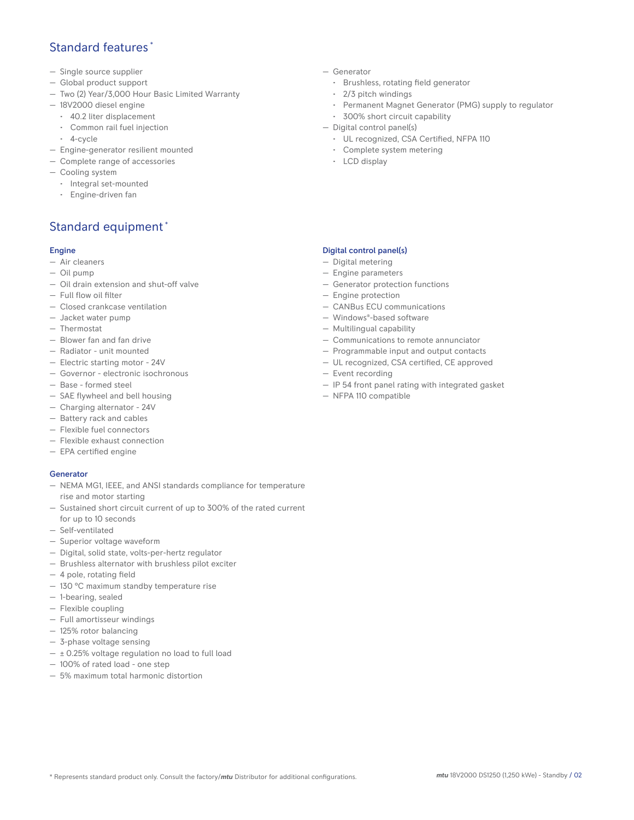## Standard features \*

- Single source supplier
- Global product support
- Two (2) Year/3,000 Hour Basic Limited Warranty
- 18V2000 diesel engine
	- 40.2 liter displacement
	- Common rail fuel injection
	- 4-cycle
- Engine-generator resilient mounted
- Complete range of accessories
- Cooling system
- Integral set-mounted
	- Engine-driven fan

## Standard equipment \*

#### Engine

- Air cleaners
- Oil pump
- Oil drain extension and shut-off valve
- Full flow oil filter
- Closed crankcase ventilation
- Jacket water pump
- Thermostat
- Blower fan and fan drive
- Radiator unit mounted
- Electric starting motor 24V
- Governor electronic isochronous
- Base formed steel
- SAE flywheel and bell housing
- Charging alternator 24V
- Battery rack and cables
- Flexible fuel connectors
- Flexible exhaust connection
- EPA certified engine

#### **Generator**

- NEMA MG1, IEEE, and ANSI standards compliance for temperature rise and motor starting
- Sustained short circuit current of up to 300% of the rated current for up to 10 seconds
- Self-ventilated
- Superior voltage waveform
- Digital, solid state, volts-per-hertz regulator
- Brushless alternator with brushless pilot exciter
- 4 pole, rotating field
- 130 °C maximum standby temperature rise
- 1-bearing, sealed
- Flexible coupling
- Full amortisseur windings
- 125% rotor balancing
- 3-phase voltage sensing
- $\pm$  0.25% voltage regulation no load to full load
- 100% of rated load one step
- 5% maximum total harmonic distortion
- Generator
	- Brushless, rotating field generator
	- 2/3 pitch windings
	- Permanent Magnet Generator (PMG) supply to regulator
- 300% short circuit capability
- Digital control panel(s)
	- UL recognized, CSA Certified, NFPA 110
	- Complete system metering
	- LCD display

#### Digital control panel(s)

- Digital metering
- Engine parameters
- Generator protection functions
- Engine protection
- CANBus ECU communications
- Windows®-based software
- Multilingual capability
- Communications to remote annunciator
- Programmable input and output contacts
- UL recognized, CSA certified, CE approved
- Event recording
- IP 54 front panel rating with integrated gasket
- NFPA 110 compatible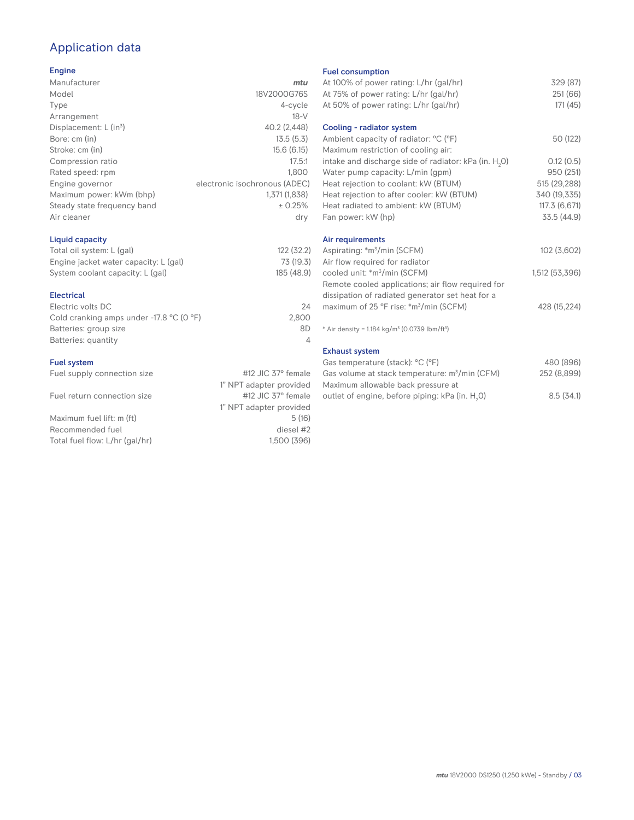## Application data

#### Engine

| Manufacturer                         | mtu                           |
|--------------------------------------|-------------------------------|
| Model                                | 18V2000G76S                   |
| Type                                 | 4-cycle                       |
| Arrangement                          | $18-V$                        |
| Displacement: $L$ (in <sup>3</sup> ) | 40.2 (2,448)                  |
| Bore: cm (in)                        | 13.5(5.3)                     |
| Stroke: cm (in)                      | 15.6(6.15)                    |
| Compression ratio                    | 17.5:1                        |
| Rated speed: rpm                     | 1.800                         |
| Engine governor                      | electronic isochronous (ADEC) |
| Maximum power: kWm (bhp)             | 1,371 (1,838)                 |
| Steady state frequency band          | ± 0.25%                       |
| Air cleaner                          | dry                           |
|                                      |                               |

### Liquid capacity

| Total oil system: L (gal)             | 122 (32.2) |
|---------------------------------------|------------|
| Engine jacket water capacity: L (gal) | 73 (19.3)  |
| System coolant capacity: L (gal)      | 185 (48.9) |

#### Electrical

| Electric volts DC                                            | 24    |
|--------------------------------------------------------------|-------|
| Cold cranking amps under -17.8 $^{\circ}$ C (O $^{\circ}$ F) | 2.800 |
| Batteries: group size                                        | 8D    |
| Batteries: quantity                                          |       |
|                                                              |       |

#### Fuel system

| Fuel supply connection size |        |
|-----------------------------|--------|
|                             | $1"$ N |
| Fuel return connection size |        |

Recommended fuel diesel #2<br>Total fuel flow: L/hr (gal/hr) diesel #2<br>1.500 (396) Total fuel flow: L/hr (gal/hr)

#12 JIC 37° female **NPT** adapter provided #12 JIC 37° female 1" NPT adapter provided Maximum fuel lift: m (ft) 5 (16)

#### Fuel consumption

| 329 (87)       |
|----------------|
| 251 (66)       |
| 171(45)        |
|                |
| 50 (122)       |
|                |
| 0.12(0.5)      |
| 950 (251)      |
| 515 (29,288)   |
|                |
| 340 (19,335)   |
| 117.3 (6,671)  |
| 33.5 (44.9)    |
|                |
| 102 (3,602)    |
|                |
| 1,512 (53,396) |
|                |
|                |
| 428 (15,224)   |
|                |
|                |
|                |
|                |
| 480 (896)      |
| 252 (8,899)    |
|                |

outlet of engine, before piping: kPa (in.  $H_2O$ )

0) 8.5 (34.1)